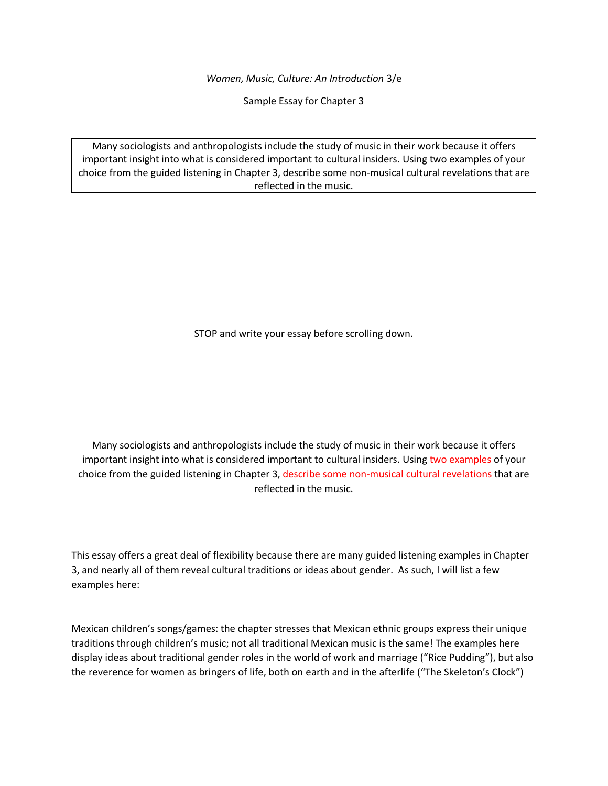*Women, Music, Culture: An Introduction* 3/e

Sample Essay for Chapter 3

Many sociologists and anthropologists include the study of music in their work because it offers important insight into what is considered important to cultural insiders. Using two examples of your choice from the guided listening in Chapter 3, describe some non-musical cultural revelations that are reflected in the music.

STOP and write your essay before scrolling down.

Many sociologists and anthropologists include the study of music in their work because it offers important insight into what is considered important to cultural insiders. Using two examples of your choice from the guided listening in Chapter 3, describe some non-musical cultural revelations that are reflected in the music.

This essay offers a great deal of flexibility because there are many guided listening examples in Chapter 3, and nearly all of them reveal cultural traditions or ideas about gender. As such, I will list a few examples here:

Mexican children's songs/games: the chapter stresses that Mexican ethnic groups express their unique traditions through children's music; not all traditional Mexican music is the same! The examples here display ideas about traditional gender roles in the world of work and marriage ("Rice Pudding"), but also the reverence for women as bringers of life, both on earth and in the afterlife ("The Skeleton's Clock")